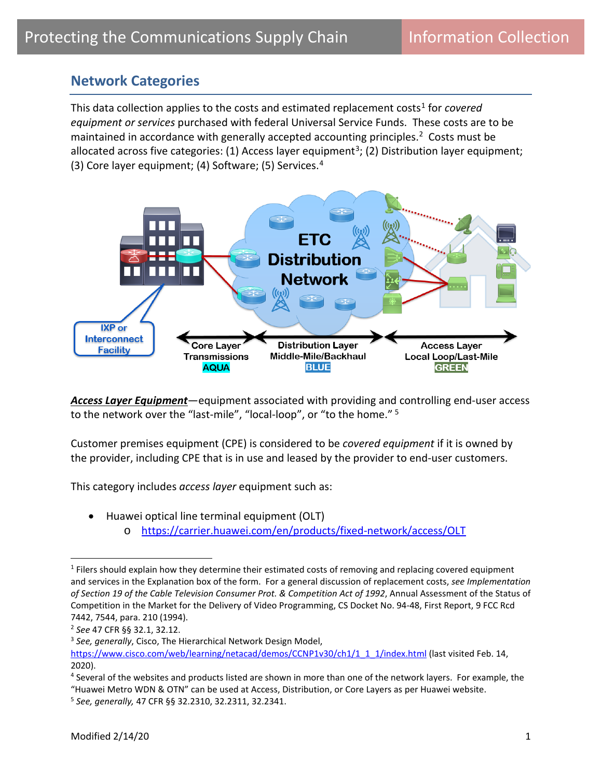## **Network Categories**

This data collection applies to the costs and estimated replacement costs<sup>[1](#page-0-0)</sup> for *covered equipment or services* purchased with federal Universal Service Funds. These costs are to be maintained in accordance with generally accepted accounting principles.<sup>2</sup> Costs must be allocated across five categories: (1) Access layer equipment<sup>3</sup>; (2) Distribution layer equipment; (3) Core layer equipment; (4) Software; (5) Services. [4](#page-0-3)



*Access Layer Equipment*—equipment associated with providing and controlling end-user access to the network over the "last-mile", "local-loop", or "to the home." [5](#page-0-4) 

Customer premises equipment (CPE) is considered to be *covered equipment* if it is owned by the provider, including CPE that is in use and leased by the provider to end-user customers.

This category includes *access layer* equipment such as:

• Huawei optical line terminal equipment (OLT) o <https://carrier.huawei.com/en/products/fixed-network/access/OLT>

<span id="page-0-0"></span><sup>&</sup>lt;sup>1</sup> Filers should explain how they determine their estimated costs of removing and replacing covered equipment and services in the Explanation box of the form. For a general discussion of replacement costs, *see Implementation of Section 19 of the Cable Television Consumer Prot. & Competition Act of 1992*, Annual Assessment of the Status of Competition in the Market for the Delivery of Video Programming, CS Docket No. 94-48, First Report, 9 FCC Rcd 7442, 7544, para. 210 (1994).

<span id="page-0-1"></span><sup>2</sup> *See* 47 CFR §§ 32.1, 32.12.

<span id="page-0-2"></span><sup>3</sup> *See, generally*, Cisco, The Hierarchical Network Design Model,

[https://www.cisco.com/web/learning/netacad/demos/CCNP1v30/ch1/1\\_1\\_1/index.html](https://www.cisco.com/web/learning/netacad/demos/CCNP1v30/ch1/1_1_1/index.html) (last visited Feb. 14, 2020).

<span id="page-0-3"></span><sup>4</sup> Several of the websites and products listed are shown in more than one of the network layers. For example, the

<sup>&</sup>quot;Huawei Metro WDN & OTN" can be used at Access, Distribution, or Core Layers as per Huawei website.

<span id="page-0-4"></span><sup>5</sup> *See, generally,* 47 CFR §§ 32.2310, 32.2311, 32.2341.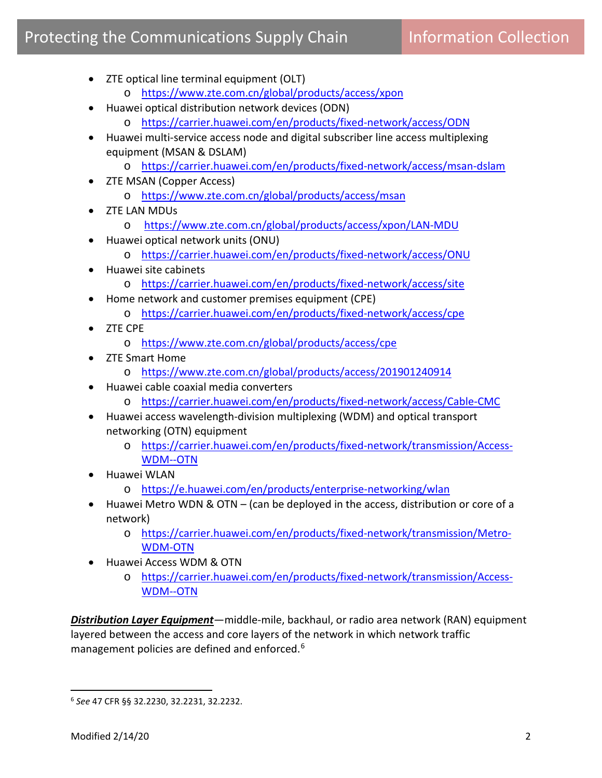## Protecting the Communications Supply Chain **Information Collection**

- ZTE optical line terminal equipment (OLT)
	- o <https://www.zte.com.cn/global/products/access/xpon>
- Huawei optical distribution network devices (ODN)
	- o <https://carrier.huawei.com/en/products/fixed-network/access/ODN>
- Huawei multi-service access node and digital subscriber line access multiplexing equipment (MSAN & DSLAM)
	- o <https://carrier.huawei.com/en/products/fixed-network/access/msan-dslam>
- ZTE MSAN (Copper Access)
	- o <https://www.zte.com.cn/global/products/access/msan>
- ZTE LAN MDUs
	- o <https://www.zte.com.cn/global/products/access/xpon/LAN-MDU>
- Huawei optical network units (ONU)
	- o <https://carrier.huawei.com/en/products/fixed-network/access/ONU>
- Huawei site cabinets
	- o <https://carrier.huawei.com/en/products/fixed-network/access/site>
- Home network and customer premises equipment (CPE)
	- o <https://carrier.huawei.com/en/products/fixed-network/access/cpe>
- ZTE CPE
	- o <https://www.zte.com.cn/global/products/access/cpe>
- ZTE Smart Home
	- o <https://www.zte.com.cn/global/products/access/201901240914>
- Huawei cable coaxial media converters
	- o <https://carrier.huawei.com/en/products/fixed-network/access/Cable-CMC>
- Huawei access wavelength-division multiplexing (WDM) and optical transport networking (OTN) equipment
	- o [https://carrier.huawei.com/en/products/fixed-network/transmission/Access-](https://carrier.huawei.com/en/products/fixed-network/transmission/Access-WDM--OTN)[WDM--OTN](https://carrier.huawei.com/en/products/fixed-network/transmission/Access-WDM--OTN)
- Huawei WLAN
	- o <https://e.huawei.com/en/products/enterprise-networking/wlan>
- Huawei Metro WDN & OTN (can be deployed in the access, distribution or core of a network)
	- o [https://carrier.huawei.com/en/products/fixed-network/transmission/Metro-](https://carrier.huawei.com/en/products/fixed-network/transmission/Metro-WDM-OTN)[WDM-OTN](https://carrier.huawei.com/en/products/fixed-network/transmission/Metro-WDM-OTN)
- Huawei Access WDM & OTN
	- o [https://carrier.huawei.com/en/products/fixed-network/transmission/Access-](https://carrier.huawei.com/en/products/fixed-network/transmission/Access-WDM--OTN)[WDM--OTN](https://carrier.huawei.com/en/products/fixed-network/transmission/Access-WDM--OTN)

*Distribution Layer Equipment*—middle-mile, backhaul, or radio area network (RAN) equipment layered between the access and core layers of the network in which network traffic management policies are defined and enforced.<sup>[6](#page-1-0)</sup>

<span id="page-1-0"></span><sup>6</sup> *See* 47 CFR §§ 32.2230, 32.2231, 32.2232.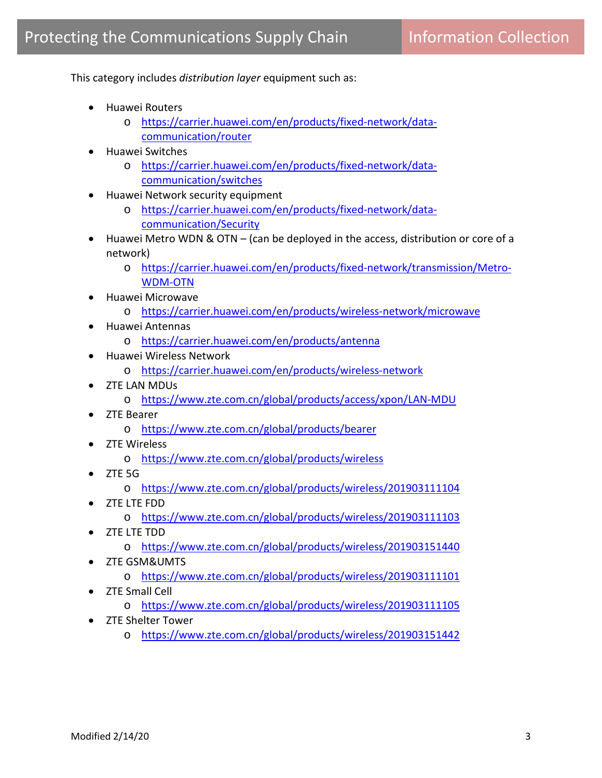This category includes *distribution layer* equipment such as:

- Huawei Routers
	- o [https://carrier.huawei.com/en/products/fixed-network/data](https://carrier.huawei.com/en/products/fixed-network/data-communication/router)[communication/router](https://carrier.huawei.com/en/products/fixed-network/data-communication/router)
- Huawei Switches
	- o [https://carrier.huawei.com/en/products/fixed-network/data](https://carrier.huawei.com/en/products/fixed-network/data-communication/switches)[communication/switches](https://carrier.huawei.com/en/products/fixed-network/data-communication/switches)
- Huawei Network security equipment
	- o [https://carrier.huawei.com/en/products/fixed-network/data](https://carrier.huawei.com/en/products/fixed-network/data-communication/Security)[communication/Security](https://carrier.huawei.com/en/products/fixed-network/data-communication/Security)
- Huawei Metro WDN & OTN (can be deployed in the access, distribution or core of a network)
	- o [https://carrier.huawei.com/en/products/fixed-network/transmission/Metro-](https://carrier.huawei.com/en/products/fixed-network/transmission/Metro-WDM-OTN)[WDM-OTN](https://carrier.huawei.com/en/products/fixed-network/transmission/Metro-WDM-OTN)
- Huawei Microwave
	- o <https://carrier.huawei.com/en/products/wireless-network/microwave>
- Huawei Antennas
	- o <https://carrier.huawei.com/en/products/antenna>
- Huawei Wireless Network
	- o <https://carrier.huawei.com/en/products/wireless-network>
- ZTE LAN MDUs
	- o <https://www.zte.com.cn/global/products/access/xpon/LAN-MDU>
- ZTE Bearer
	- o <https://www.zte.com.cn/global/products/bearer>
- ZTE Wireless
	- o <https://www.zte.com.cn/global/products/wireless>
- ZTE 5G
	- o <https://www.zte.com.cn/global/products/wireless/201903111104>
- ZTE LTE FDD
	- o <https://www.zte.com.cn/global/products/wireless/201903111103>
- ZTE LTE TDD
	- o <https://www.zte.com.cn/global/products/wireless/201903151440>
- ZTE GSM&UMTS
	- o <https://www.zte.com.cn/global/products/wireless/201903111101>
- ZTE Small Cell
	- o <https://www.zte.com.cn/global/products/wireless/201903111105>
- ZTE Shelter Tower
	- o <https://www.zte.com.cn/global/products/wireless/201903151442>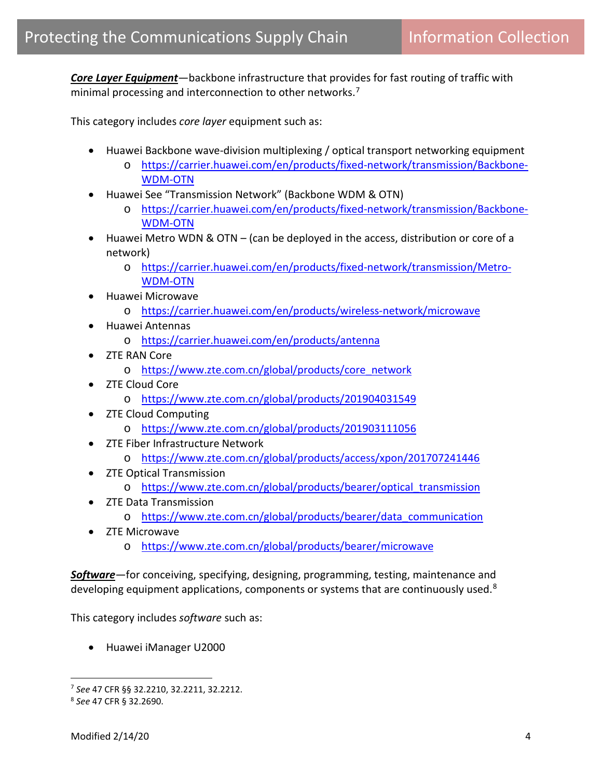*Core Layer Equipment*—backbone infrastructure that provides for fast routing of traffic with minimal processing and interconnection to other networks.<sup>[7](#page-3-0)</sup>

This category includes *core layer* equipment such as:

- Huawei Backbone wave-division multiplexing / optical transport networking equipment
	- o [https://carrier.huawei.com/en/products/fixed-network/transmission/Backbone-](https://carrier.huawei.com/en/products/fixed-network/transmission/Backbone-WDM-OTN)[WDM-OTN](https://carrier.huawei.com/en/products/fixed-network/transmission/Backbone-WDM-OTN)
- Huawei See "Transmission Network" (Backbone WDM & OTN)
	- o [https://carrier.huawei.com/en/products/fixed-network/transmission/Backbone-](https://carrier.huawei.com/en/products/fixed-network/transmission/Backbone-WDM-OTN)[WDM-OTN](https://carrier.huawei.com/en/products/fixed-network/transmission/Backbone-WDM-OTN)
- Huawei Metro WDN & OTN (can be deployed in the access, distribution or core of a network)
	- o [https://carrier.huawei.com/en/products/fixed-network/transmission/Metro-](https://carrier.huawei.com/en/products/fixed-network/transmission/Metro-WDM-OTN)[WDM-OTN](https://carrier.huawei.com/en/products/fixed-network/transmission/Metro-WDM-OTN)
- Huawei Microwave
	- o <https://carrier.huawei.com/en/products/wireless-network/microwave>
- Huawei Antennas
	- o <https://carrier.huawei.com/en/products/antenna>
- ZTE RAN Core
	- o [https://www.zte.com.cn/global/products/core\\_network](https://www.zte.com.cn/global/products/core_network)
- ZTE Cloud Core
	- o <https://www.zte.com.cn/global/products/201904031549>
- ZTE Cloud Computing
	- o <https://www.zte.com.cn/global/products/201903111056>
- ZTE Fiber Infrastructure Network
	- o <https://www.zte.com.cn/global/products/access/xpon/201707241446>
- ZTE Optical Transmission
	- o [https://www.zte.com.cn/global/products/bearer/optical\\_transmission](https://www.zte.com.cn/global/products/bearer/optical_transmission)
- ZTE Data Transmission
	- o [https://www.zte.com.cn/global/products/bearer/data\\_communication](https://www.zte.com.cn/global/products/bearer/data_communication)
- ZTE Microwave
	- o <https://www.zte.com.cn/global/products/bearer/microwave>

*Software*—for conceiving, specifying, designing, programming, testing, maintenance and developing equipment applications, components or systems that are continuously used.<sup>8</sup>

This category includes *software* such as:

• Huawei iManager U2000

<span id="page-3-0"></span><sup>7</sup> *See* 47 CFR §§ 32.2210, 32.2211, 32.2212.

<span id="page-3-1"></span><sup>8</sup> *See* 47 CFR § 32.2690.